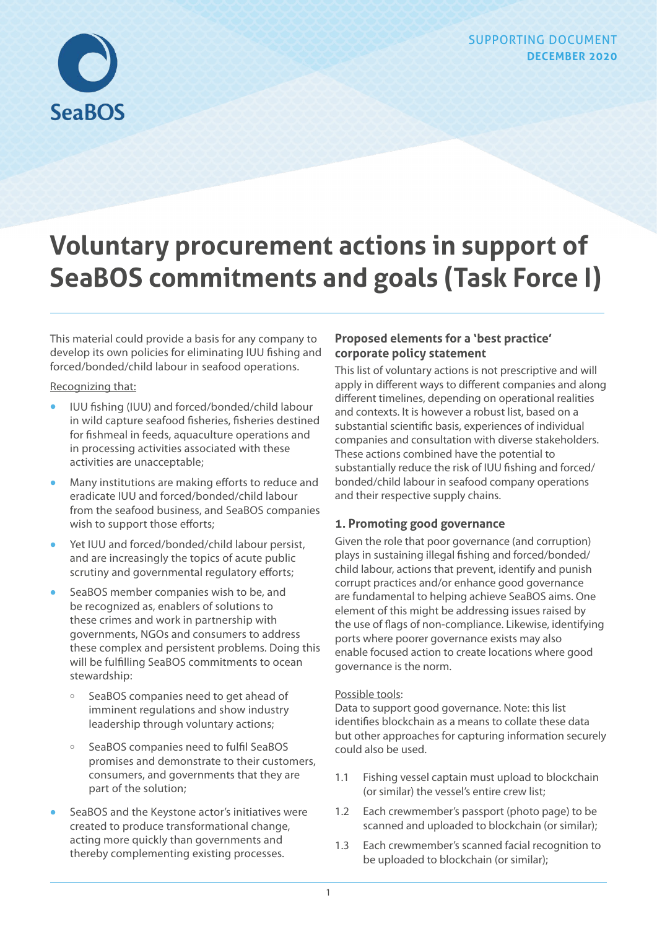

# **Voluntary procurement actions in support of SeaBOS commitments and goals (Task Force I)**

This material could provide a basis for any company to develop its own policies for eliminating IUU fishing and forced/bonded/child labour in seafood operations.

#### Recognizing that:

- **•** IUU fishing (IUU) and forced/bonded/child labour in wild capture seafood fisheries, fisheries destined for fishmeal in feeds, aquaculture operations and in processing activities associated with these activities are unacceptable;
- **•** Many institutions are making efforts to reduce and eradicate IUU and forced/bonded/child labour from the seafood business, and SeaBOS companies wish to support those efforts;
- **•** Yet IUU and forced/bonded/child labour persist, and are increasingly the topics of acute public scrutiny and governmental regulatory efforts;
- **•** SeaBOS member companies wish to be, and be recognized as, enablers of solutions to these crimes and work in partnership with governments, NGOs and consumers to address these complex and persistent problems. Doing this will be fulfilling SeaBOS commitments to ocean stewardship:
	- ɱ SeaBOS companies need to get ahead of imminent regulations and show industry leadership through voluntary actions;
	- ɱ SeaBOS companies need to fulfil SeaBOS promises and demonstrate to their customers, consumers, and governments that they are part of the solution;
- **•** SeaBOS and the Keystone actor's initiatives were created to produce transformational change, acting more quickly than governments and thereby complementing existing processes.

# **Proposed elements for a 'best practice' corporate policy statement**

This list of voluntary actions is not prescriptive and will apply in different ways to different companies and along different timelines, depending on operational realities and contexts. It is however a robust list, based on a substantial scientific basis, experiences of individual companies and consultation with diverse stakeholders. These actions combined have the potential to substantially reduce the risk of IUU fishing and forced/ bonded/child labour in seafood company operations and their respective supply chains.

# **1. Promoting good governance**

Given the role that poor governance (and corruption) plays in sustaining illegal fishing and forced/bonded/ child labour, actions that prevent, identify and punish corrupt practices and/or enhance good governance are fundamental to helping achieve SeaBOS aims. One element of this might be addressing issues raised by the use of flags of non-compliance. Likewise, identifying ports where poorer governance exists may also enable focused action to create locations where good governance is the norm.

## Possible tools:

Data to support good governance. Note: this list identifies blockchain as a means to collate these data but other approaches for capturing information securely could also be used.

- 1.1 Fishing vessel captain must upload to blockchain (or similar) the vessel's entire crew list;
- 1.2 Each crewmember's passport (photo page) to be scanned and uploaded to blockchain (or similar);
- 1.3 Each crewmember's scanned facial recognition to be uploaded to blockchain (or similar);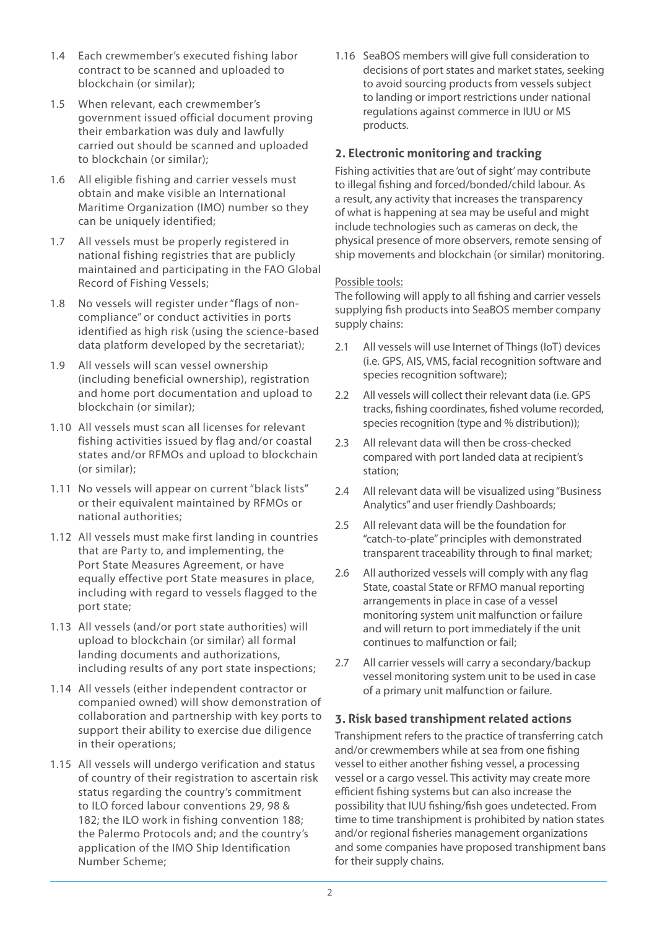- 1.4 Each crewmember's executed fishing labor contract to be scanned and uploaded to blockchain (or similar);
- 1.5 When relevant, each crewmember's government issued official document proving their embarkation was duly and lawfully carried out should be scanned and uploaded to blockchain (or similar);
- 1.6 All eligible fishing and carrier vessels must obtain and make visible an International Maritime Organization (IMO) number so they can be uniquely identified;
- 1.7 All vessels must be properly registered in national fishing registries that are publicly maintained and participating in the FAO Global Record of Fishing Vessels;
- 1.8 No vessels will register under "flags of noncompliance" or conduct activities in ports identified as high risk (using the science-based data platform developed by the secretariat);
- 1.9 All vessels will scan vessel ownership (including beneficial ownership), registration and home port documentation and upload to blockchain (or similar);
- 1.10 All vessels must scan all licenses for relevant fishing activities issued by flag and/or coastal states and/or RFMOs and upload to blockchain (or similar);
- 1.11 No vessels will appear on current "black lists" or their equivalent maintained by RFMOs or national authorities;
- 1.12 All vessels must make first landing in countries that are Party to, and implementing, the Port State Measures Agreement, or have equally effective port State measures in place, including with regard to vessels flagged to the port state;
- 1.13 All vessels (and/or port state authorities) will upload to blockchain (or similar) all formal landing documents and authorizations, including results of any port state inspections;
- 1.14 All vessels (either independent contractor or companied owned) will show demonstration of collaboration and partnership with key ports to support their ability to exercise due diligence in their operations;
- 1.15 All vessels will undergo verification and status of country of their registration to ascertain risk status regarding the country's commitment to ILO forced labour conventions 29, 98 & 182; the ILO work in fishing convention 188; the Palermo Protocols and; and the country's application of the IMO Ship Identification Number Scheme;

1.16 SeaBOS members will give full consideration to decisions of port states and market states, seeking to avoid sourcing products from vessels subject to landing or import restrictions under national regulations against commerce in IUU or MS products.

## **2. Electronic monitoring and tracking**

Fishing activities that are 'out of sight' may contribute to illegal fishing and forced/bonded/child labour. As a result, any activity that increases the transparency of what is happening at sea may be useful and might include technologies such as cameras on deck, the physical presence of more observers, remote sensing of ship movements and blockchain (or similar) monitoring.

#### Possible tools:

The following will apply to all fishing and carrier vessels supplying fish products into SeaBOS member company supply chains:

- 2.1 All vessels will use Internet of Things (IoT) devices (i.e. GPS, AIS, VMS, facial recognition software and species recognition software);
- 2.2 All vessels will collect their relevant data (i.e. GPS) tracks, fishing coordinates, fished volume recorded, species recognition (type and % distribution));
- 2.3 All relevant data will then be cross-checked compared with port landed data at recipient's station;
- 2.4 All relevant data will be visualized using "Business Analytics" and user friendly Dashboards;
- 2.5 All relevant data will be the foundation for "catch-to-plate" principles with demonstrated transparent traceability through to final market;
- 2.6 All authorized vessels will comply with any flag State, coastal State or RFMO manual reporting arrangements in place in case of a vessel monitoring system unit malfunction or failure and will return to port immediately if the unit continues to malfunction or fail;
- 2.7 All carrier vessels will carry a secondary/backup vessel monitoring system unit to be used in case of a primary unit malfunction or failure.

## **3. Risk based transhipment related actions**

Transhipment refers to the practice of transferring catch and/or crewmembers while at sea from one fishing vessel to either another fishing vessel, a processing vessel or a cargo vessel. This activity may create more efficient fishing systems but can also increase the possibility that IUU fishing/fish goes undetected. From time to time transhipment is prohibited by nation states and/or regional fisheries management organizations and some companies have proposed transhipment bans for their supply chains.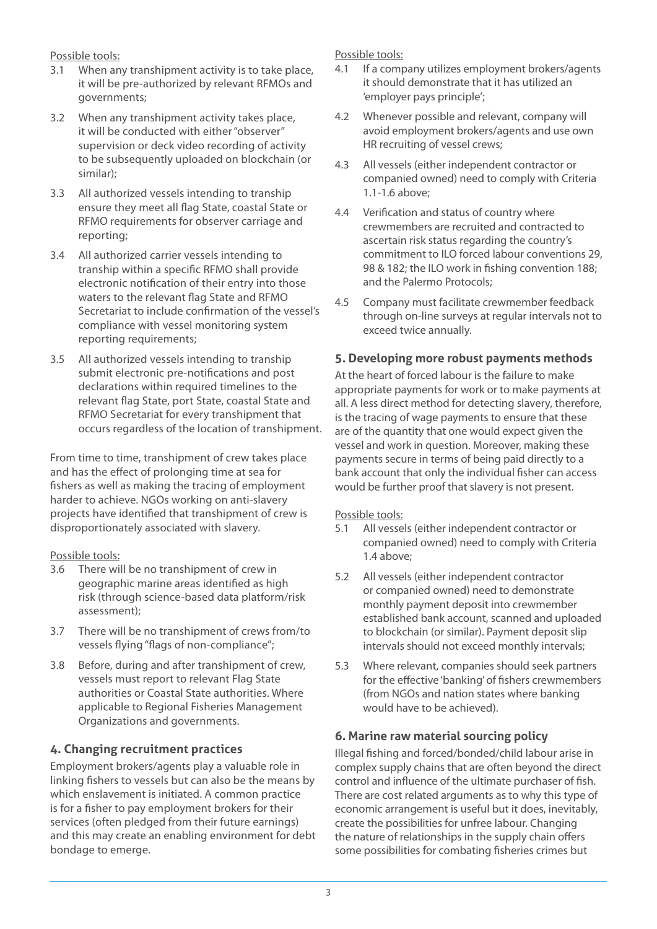Possible tools:

- 3.1 When any transhipment activity is to take place, it will be pre-authorized by relevant RFMOs and governments;
- 3.2 When any transhipment activity takes place, it will be conducted with either "observer" supervision or deck video recording of activity to be subsequently uploaded on blockchain (or similar);
- 3.3 All authorized vessels intending to tranship ensure they meet all flag State, coastal State or RFMO requirements for observer carriage and reporting;
- 3.4 All authorized carrier vessels intending to tranship within a specific RFMO shall provide electronic notification of their entry into those waters to the relevant flag State and RFMO Secretariat to include confirmation of the vessel's compliance with vessel monitoring system reporting requirements;
- 3.5 All authorized vessels intending to tranship submit electronic pre-notifications and post declarations within required timelines to the relevant flag State, port State, coastal State and RFMO Secretariat for every transhipment that occurs regardless of the location of transhipment.

From time to time, transhipment of crew takes place and has the effect of prolonging time at sea for fishers as well as making the tracing of employment harder to achieve. NGOs working on anti-slavery projects have identified that transhipment of crew is disproportionately associated with slavery.

## Possible tools:

- 3.6 There will be no transhipment of crew in geographic marine areas identified as high risk (through science-based data platform/risk assessment);
- 3.7 There will be no transhipment of crews from/to vessels flying "flags of non-compliance";
- 3.8 Before, during and after transhipment of crew, vessels must report to relevant Flag State authorities or Coastal State authorities. Where applicable to Regional Fisheries Management Organizations and governments.

# **4. Changing recruitment practices**

Employment brokers/agents play a valuable role in linking fishers to vessels but can also be the means by which enslavement is initiated. A common practice is for a fisher to pay employment brokers for their services (often pledged from their future earnings) and this may create an enabling environment for debt bondage to emerge.

Possible tools:

- 4.1 If a company utilizes employment brokers/agents it should demonstrate that it has utilized an 'employer pays principle';
- 4.2 Whenever possible and relevant, company will avoid employment brokers/agents and use own HR recruiting of vessel crews;
- 4.3 All vessels (either independent contractor or companied owned) need to comply with Criteria 1.1-1.6 above;
- 4.4 Verification and status of country where crewmembers are recruited and contracted to ascertain risk status regarding the country's commitment to ILO forced labour conventions 29, 98 & 182; the ILO work in fishing convention 188; and the Palermo Protocols;
- 4.5 Company must facilitate crewmember feedback through on-line surveys at regular intervals not to exceed twice annually.

# **5. Developing more robust payments methods**

At the heart of forced labour is the failure to make appropriate payments for work or to make payments at all. A less direct method for detecting slavery, therefore, is the tracing of wage payments to ensure that these are of the quantity that one would expect given the vessel and work in question. Moreover, making these payments secure in terms of being paid directly to a bank account that only the individual fisher can access would be further proof that slavery is not present.

#### Possible tools:

- 5.1 All vessels (either independent contractor or companied owned) need to comply with Criteria 1.4 above;
- 5.2 All vessels (either independent contractor or companied owned) need to demonstrate monthly payment deposit into crewmember established bank account, scanned and uploaded to blockchain (or similar). Payment deposit slip intervals should not exceed monthly intervals;
- 5.3 Where relevant, companies should seek partners for the effective 'banking' of fishers crewmembers (from NGOs and nation states where banking would have to be achieved).

# **6. Marine raw material sourcing policy**

Illegal fishing and forced/bonded/child labour arise in complex supply chains that are often beyond the direct control and influence of the ultimate purchaser of fish. There are cost related arguments as to why this type of economic arrangement is useful but it does, inevitably, create the possibilities for unfree labour. Changing the nature of relationships in the supply chain offers some possibilities for combating fisheries crimes but